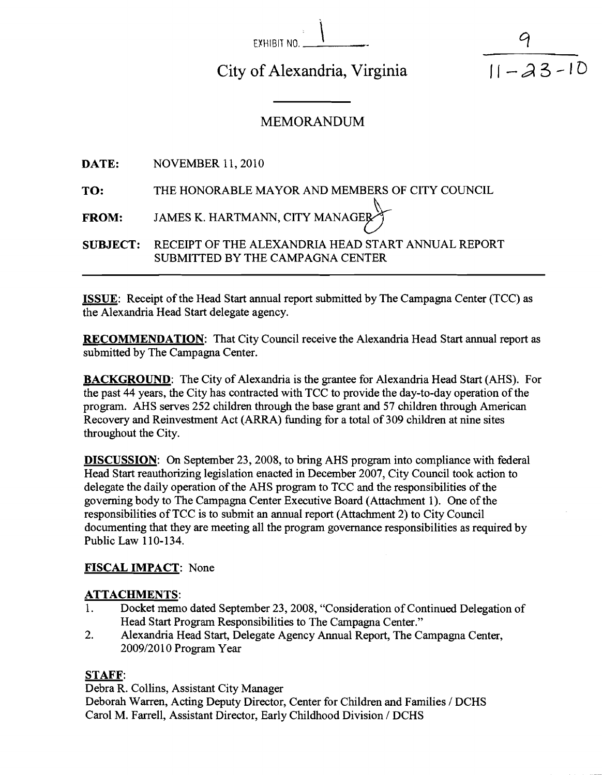| EXHIBIT NO. |  |  |
|-------------|--|--|

City of Alexandria, Virginia

 $11 - 23 - 10$ 

# MEMORANDUM

**DATE:** NOVEMBER 11, 2010

**TO:** THE HONORABLE MAYOR AND MEMBERS OF CITY COUNCIL

**FROM:** JAMES K. HARTMANN, CITY MANAGE

**SUBJECT:** RECEIPT OF THE ALEXANDRIA HEAD START ANNUAL REPORT SUBMITTED BY THE CAMPAGNA CENTER

**ISSUE:** Receipt of the Head Start annual report submitted by The Campagna Center (TCC) as the Alexandria Head Start delegate agency.

**RECOMMENDATION:** That City Council receive the Alexandria Head Start annual report as submitted by The Campagna Center.

**BACKGROUND:** The City of Alexandria is the grantee for Alexandria Head Start (AHS). For the past 44 years, the City has contracted with TCC to provide the day-to-day operation of the program. AHS serves 252 children through the base grant and 57 children through American Recovery and Reinvestment Act (ARRA) funding for a total of 309 children at nine sites throughout the City.

**DISCUSSION:** On September 23, 2008, to bring AHS program into compliance with federal Head Start reauthorizing legislation enacted in December 2007, City Council took action to delegate the daily operation of the AHS program to TCC and the responsibilities of the governing body to The Campagna Center Executive Board (Attachment 1). One of the responsibilities of TCC is to submit an annual report (Attachment 2) to City Council documenting that they are meeting all the program governance responsibilities as required by Public Law 1 10- 134.

# **FISCAL IMPACT:** None

# **ATTACHMENTS:**

- 1. Docket memo dated September 23,2008, "Consideration of Continued Delegation of Head Start Program Responsibilities to The Campagna Center."
- 2. Alexandria Head Start, Delegate Agency Annual Report, The Campagna Center, 20091201 0 Program Year

# **STAFF:**

Debra R. Collins, Assistant City Manager Deborah Warren, Acting Deputy Director, Center for Children and Families / DCHS Carol M. Farrell, Assistant Director, Early Childhood Division / DCHS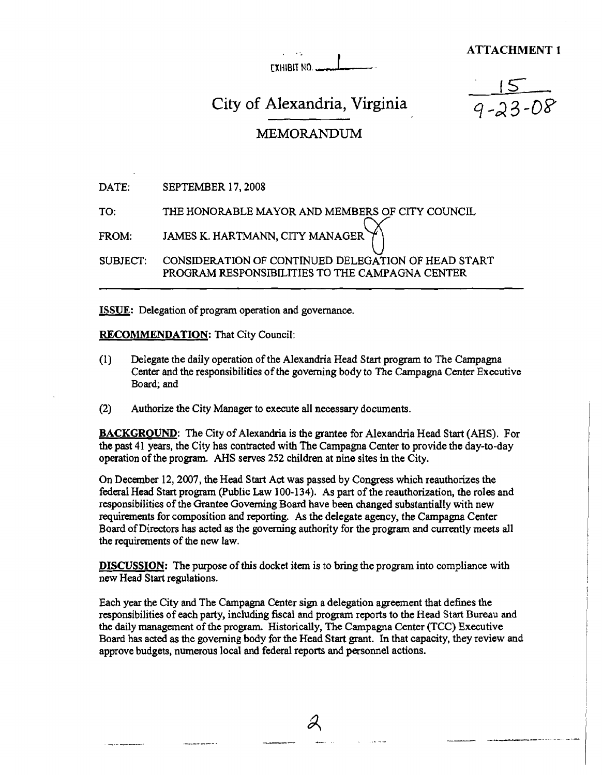**ATTACHMENT 1** 

EXHIBIT NO.

# City of Alexandria, Virginia

# MEMORANDUM

| <b>DATE:</b> | SEPTEMBER 17, 2008 |
|--------------|--------------------|
|--------------|--------------------|

TO: THE HONORABLE MAYOR AND MEMBERS OF CITY **ERS OF** COUNCIL

u SUBJECT: CONSIDERATION OF CONTINUED DELEGATION OF HEAD START PROGRAM RESPONSIBILITIES TO **THE** CAMPAGNA CENTER FROM: JAMES K. HARTMANN, CITY MANAGE<br>SUBJECT: CONSIDERATION OF CONTINUED DEL<br>PROGRAM RESPONSIBILITIES TO THE<br>ISSUE: Delegation of program operation and governance.<br>RECOMMENDATION: That City Council:

## **RECOMMENDATION:** That City Council:

- (1) Delegate the daily operation of the Alexandria Head Start program to The Campagna Center and the responsibilities of the governing body to The Campagna Center Executive Board; and
- (2) Authorize the City Manager to execute all necessary documents.

**BACKGROUND:** The City of Alexandria is the grantee for Alexandria Head Start (AHS), For the past 41 years, the City has contracted with The Campagna Center to provide the day-to-day operation of the program. AHS serves 252 children at nine sites in the City.

On December 12,2007, the Head Start Act was passed by Congress which reauthorizes the federal Head Start program (Public Law 100-134). As part of the reauthorization, the roles and responsibilities of the Grantee Governing Board have been changed substantially with new requirements for composition and reporting. As the delegate agency, the Campagna Center Board of Directors has acted as the governing authority for the program and currently meets all the requirements of the new law.

**DISCUSSION:** The purpose of this docket item is to bring the program into compliance with new Head Start regulations.

Each year the City and The Campagna Center sign a delegation agreement that defines the responsibilities of each party, including fiscal and program reports to the Head Start Bureau md the daily management of the program. Historically, The Campagna Center (TCC) Executive Board has acted as the goveming body for the Head Start grant. In that capacity, they review and approve budgets, numerous local and federal reports and personnel actions.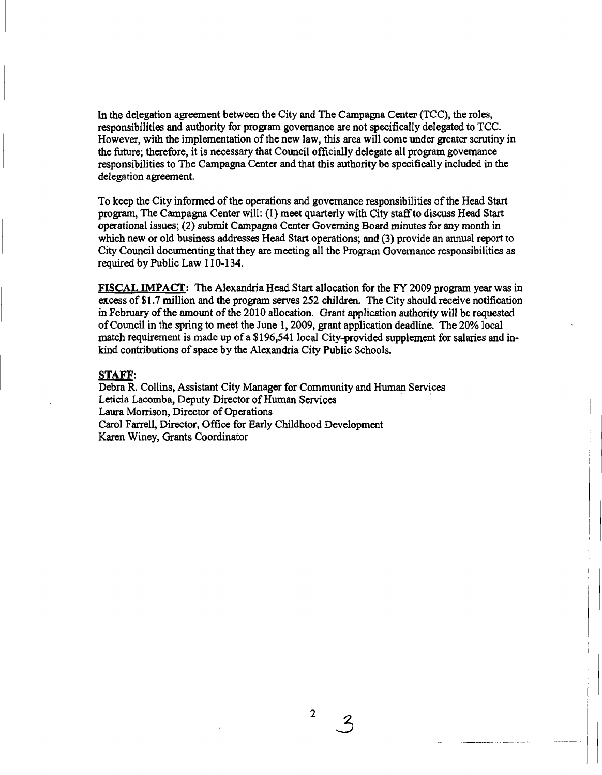In the delegation agreement between the City and The Campagna Center (TCC), the roles, responsibilities and authority for program governance are not specifically delegated to TCC. However, with the implementation of the new law, this area will come under greater scrutiny in the future; therefore, it is necessary that Council officially delegate all program governance responsibilities to The Campagna Center and that this authority be specifically included in the delegation agreement.

To keep the City informed of the operations and governance responsibilities of the Head Start program, The Campagna Center will: (1) meet quarterly with City staff to discuss Head Start operational issues; (2) submit Campagna Center Governing Board minutes for any month in which new or old business addresses Head Start operations; and (3) provide an **annual** report to City Council documenting that they are meeting all the Program Governance responsibilities as required by Public Law 1 10-134.

**FISCAL IMPACT:** The Alexandria Head Start allocation for the FY 2009 program year was in excess of \$1.7 million and the program serves 252 children. The City should receive notification in February of the amount of the 2010 allocation. Grant application authority will be requested of Council in the spring to meet the June 1,2009, grant application deadline. The 20% local match requirement is made up of a \$196,541 local City-provided supplement for salaries and **in**kind contributions of space by the Alexandria City Public Schools.

#### **STAFF:**

Debra **R.** Collins, Assistant City Manager for Community and Human Services Leticia Lacomba, Deputy Director of Human Services Laura Morrison, Director of Operations Carol Farrell, Director, Office for Early Childhood Development Karen Winey, Grants Coordinator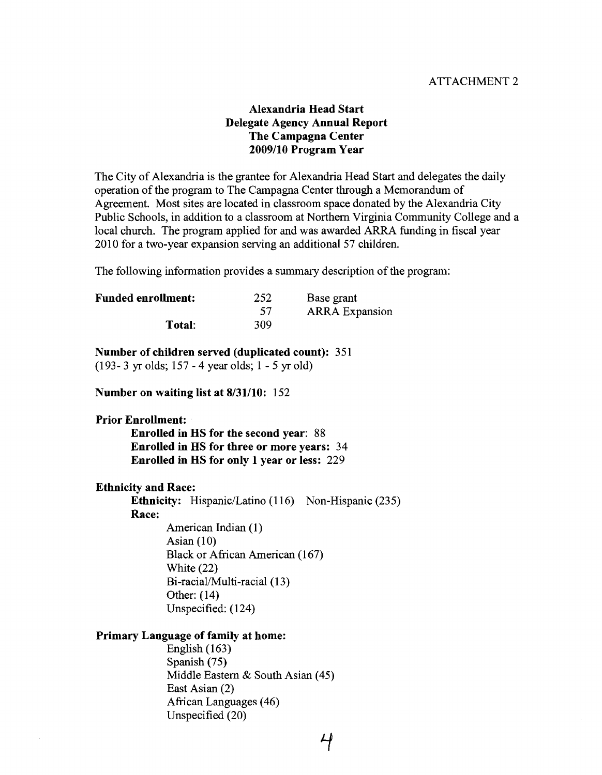## ATTACHMENT 2

# Alexandria Head Start Delegate Agency Annual Report The Campagna Center 2009/10 Program Year

The City of Alexandria is the grantee for Alexandria Head Start and delegates the daily operation of the program to The Campagna Center through a Memorandum of Agreement. Most sites are located in classroom space donated by the Alexandria City Public Schools, in addition to a classroom at Northern Virginia Community College and a local church. The program applied for and was awarded ARRA funding in fiscal year 2010 for a two-year expansion serving an additional 57 children.

The following information provides a summary description of the program:

| <b>Funded enrollment:</b> | 252 | Base grant            |
|---------------------------|-----|-----------------------|
|                           | -57 | <b>ARRA</b> Expansion |
| Total:                    | 309 |                       |

#### Number of children served (duplicated count): 35 1

(1 93- 3 yr olds; 157 - 4 year olds; 1 - 5 yr old)

Number on waiting list at 8/31/10: 152

Prior Enrollment: Enrolled in HS for the second year: 88

Enrolled in HS for three or more years: 34 Enrolled in HS for only 1 year or less: 229

Ethnicity and Race:

Ethnicity: Hispanic/Latino  $(116)$  Non-Hispanic (235)

Race:

American Indian (1) Asian  $(10)$ Black or African American (167) White (22) Bi-racial/Multi-racial (13) Other: (14) Unspecified: (124)

### Primary Language of family at home:

English  $(163)$ Spanish (75) Middle Eastern & South Asian (45) East Asian (2) African Languages (46) Unspecified (20)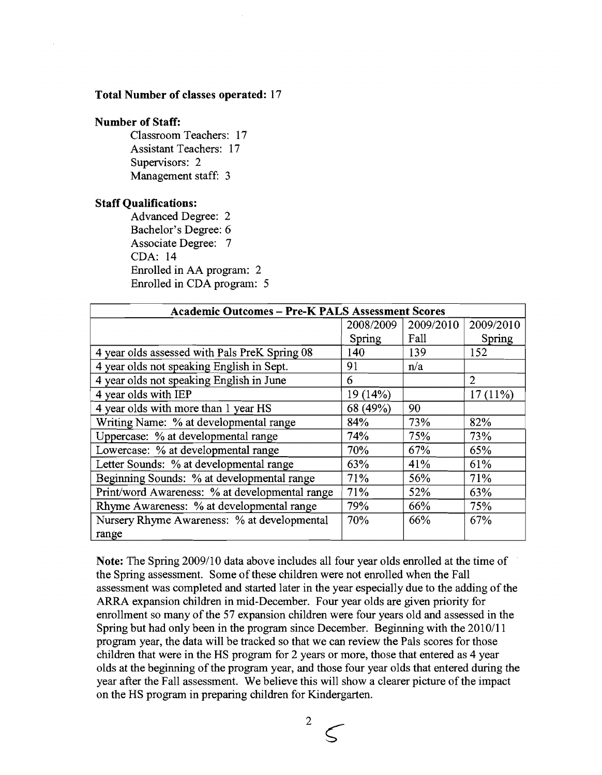#### **Total Number of classes operated:** 17

## **Number of Staff:**

Classroom Teachers: 17 Assistant Teachers: 17 Supervisors: 2 Management staff: 3

#### **Staff Qualifications:**

Advanced Degree: 2 Bachelor's Degree: *6*  Associate Degree: 7 CDA: 14 Enrolled in AA program: 2 Enrolled in CDA program: 5

| <b>Academic Outcomes - Pre-K PALS Assessment Scores</b> |           |           |                             |
|---------------------------------------------------------|-----------|-----------|-----------------------------|
|                                                         | 2008/2009 | 2009/2010 | 2009/2010                   |
|                                                         | Spring    | Fall      | Spring                      |
| 4 year olds assessed with Pals PreK Spring 08           | 140       | 139       | 152                         |
| 4 year olds not speaking English in Sept.               | 91        | n/a       |                             |
| 4 year olds not speaking English in June                | 6         |           | $\mathcal{D}_{\mathcal{L}}$ |
| 4 year olds with IEP                                    | 19(14%)   |           | 17(11%)                     |
| 4 year olds with more than 1 year HS                    | 68 (49%)  | 90        |                             |
| Writing Name: % at developmental range                  | 84%       | 73%       | 82%                         |
| Uppercase: % at developmental range                     | 74%       | 75%       | 73%                         |
| Lowercase: % at developmental range                     | 70%       | 67%       | 65%                         |
| Letter Sounds: % at developmental range                 | 63%       | 41%       | 61%                         |
| Beginning Sounds: % at developmental range              | 71%       | 56%       | 71%                         |
| Print/word Awareness: % at developmental range          | 71%       | 52%       | 63%                         |
| Rhyme Awareness: % at developmental range               | 79%       | 66%       | 75%                         |
| Nursery Rhyme Awareness: % at developmental             | 70%       | 66%       | 67%                         |
| range                                                   |           |           |                             |

Note: The Spring 2009/10 data above includes all four year olds enrolled at the time of the Spring assessment. Some of these children were not enrolled when the Fall assessment was completed and started later in the year especially due to the adding of the ARRA expansion children in mid-December. Four year olds are given priority for enrollment so many of the 57 expansion children were four years old and assessed in the Spring but had only been in the program since December. Beginning with the 2010/11 program year, the data will be tracked so that we can review the Pals scores for those children that were in the HS program for 2 years or more, those that entered as 4 year olds at the beginning of the program year, and those four year olds that entered during the year after the Fall assessment. We believe this will show a clearer picture of the impact on the HS program in preparing children for Kindergarten.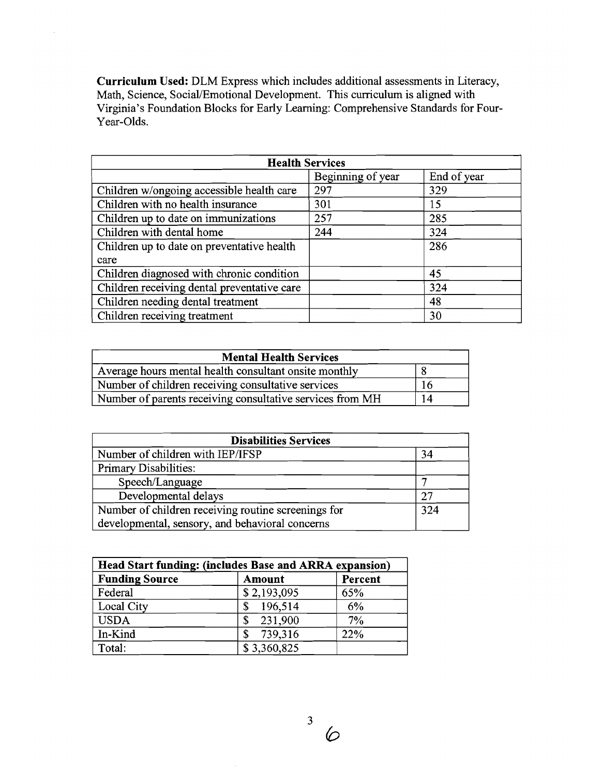**Curriculum Used:** DLM Express which includes additional assessments in Literacy, Math, Science, Social/Emotional Development. This curriculum is aligned with Virginia's Foundation Blocks for Early Learning: Comprehensive Standards for Four-Year-Olds.

 $\bar{z}$ 

| <b>Health Services</b>                      |                   |             |  |
|---------------------------------------------|-------------------|-------------|--|
|                                             | Beginning of year | End of year |  |
| Children w/ongoing accessible health care   | 297               | 329         |  |
| Children with no health insurance           | 301               | 15          |  |
| Children up to date on immunizations        | 257               | 285         |  |
| Children with dental home                   | 244               | 324         |  |
| Children up to date on preventative health  |                   | 286         |  |
| care                                        |                   |             |  |
| Children diagnosed with chronic condition   |                   | 45          |  |
| Children receiving dental preventative care |                   | 324         |  |
| Children needing dental treatment           |                   | 48          |  |
| Children receiving treatment                |                   | 30          |  |

| <b>Mental Health Services</b>                             |    |
|-----------------------------------------------------------|----|
| Average hours mental health consultant onsite monthly     |    |
| Number of children receiving consultative services        | 16 |
| Number of parents receiving consultative services from MH | 14 |

| <b>Disabilities Services</b>                        |     |  |
|-----------------------------------------------------|-----|--|
| Number of children with IEP/IFSP                    | 34  |  |
| Primary Disabilities:                               |     |  |
| Speech/Language                                     |     |  |
| Developmental delays                                | 27  |  |
| Number of children receiving routine screenings for | 324 |  |
| developmental, sensory, and behavioral concerns     |     |  |

| Head Start funding: (includes Base and ARRA expansion) |               |                |
|--------------------------------------------------------|---------------|----------------|
| <b>Funding Source</b>                                  | <b>Amount</b> | <b>Percent</b> |
| Federal                                                | \$2,193,095   | 65%            |
| Local City                                             | 196,514<br>\$ | 6%             |
| <b>USDA</b>                                            | 231,900<br>\$ | 7%             |
| In-Kind                                                | 739,316       | 22%            |
| Total:                                                 | \$3,360,825   |                |

 $\mathbf{3}$ 6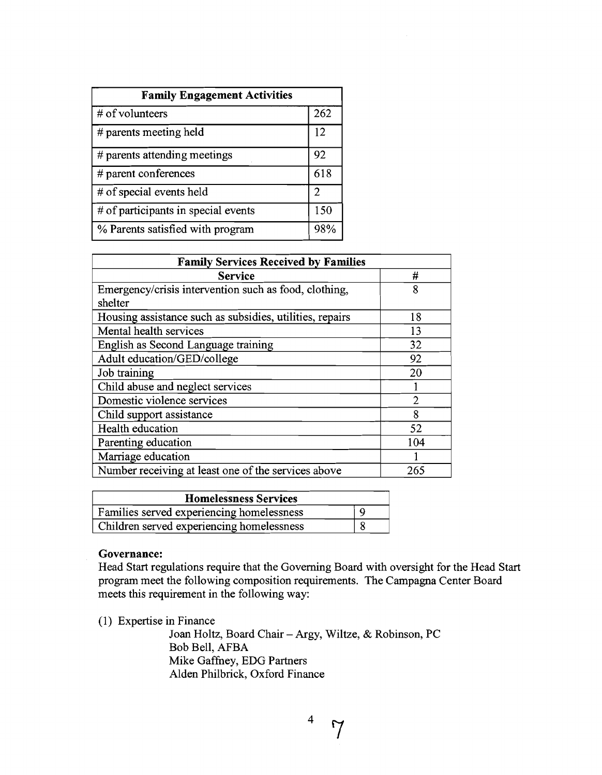| <b>Family Engagement Activities</b> |     |  |
|-------------------------------------|-----|--|
| # of volunteers                     | 262 |  |
| # parents meeting held              | 12  |  |
| # parents attending meetings        | 92  |  |
| $#$ parent conferences              | 618 |  |
| # of special events held            | 2   |  |
| # of participants in special events | 150 |  |
| % Parents satisfied with program    |     |  |

| <b>Family Services Received by Families</b>              |     |  |
|----------------------------------------------------------|-----|--|
| <b>Service</b>                                           | #   |  |
| Emergency/crisis intervention such as food, clothing,    | 8   |  |
| shelter                                                  |     |  |
| Housing assistance such as subsidies, utilities, repairs | 18  |  |
| Mental health services                                   | 13  |  |
| English as Second Language training                      | 32  |  |
| Adult education/GED/college                              | 92  |  |
| Job training                                             | 20  |  |
| Child abuse and neglect services                         |     |  |
| Domestic violence services                               | 2   |  |
| Child support assistance                                 | 8   |  |
| Health education                                         | 52  |  |
| Parenting education                                      | 104 |  |
| Marriage education                                       |     |  |
| Number receiving at least one of the services above      | 265 |  |

| <b>Homelessness Services</b>              |   |
|-------------------------------------------|---|
| Families served experiencing homelessness |   |
| Children served experiencing homelessness | 8 |

## **Governance:**

Head Start regulations require that the Governing Board with oversight for the Head Start program meet the following composition requirements. The Campagna Center Board meets this requirement in the following way:

(1) Expertise in Finance

Joan Holtz, Board Chair - Argy, Wiltze, & Robinson, PC Bob Bell, AFBA Mike Gaffhey, EDG Partners Alden Philbrick, Oxford Finance

 $4\frac{4}{7}$